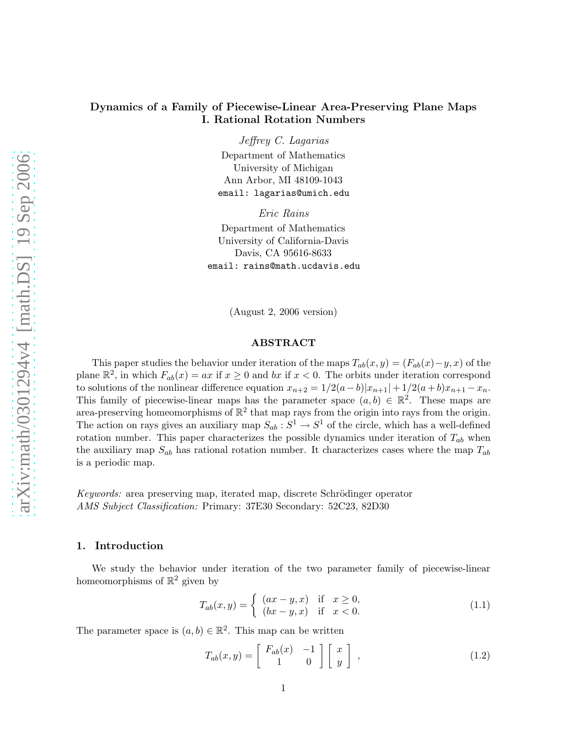## Dynamics of a Family of Piecewise-Linear Area-Preserving Plane Maps I. Rational Rotation Numbers

Jeffrey C. Lagarias Department of Mathematics University of Michigan Ann Arbor, MI 48109-1043 email: lagarias@umich.edu

Eric Rains

Department of Mathematics University of California-Davis Davis, CA 95616-8633 email: rains@math.ucdavis.edu

(August 2, 2006 version)

## ABSTRACT

This paper studies the behavior under iteration of the maps  $T_{ab}(x, y) = (F_{ab}(x) - y, x)$  of the plane  $\mathbb{R}^2$ , in which  $F_{ab}(x) = ax$  if  $x \ge 0$  and bx if  $x < 0$ . The orbits under iteration correspond to solutions of the nonlinear difference equation  $x_{n+2} = 1/2(a-b)|x_{n+1}| + 1/2(a+b)x_{n+1} - x_n$ . This family of piecewise-linear maps has the parameter space  $(a, b) \in \mathbb{R}^2$ . These maps are area-preserving homeomorphisms of  $\mathbb{R}^2$  that map rays from the origin into rays from the origin. The action on rays gives an auxiliary map  $S_{ab}: S^1 \to S^1$  of the circle, which has a well-defined rotation number. This paper characterizes the possible dynamics under iteration of  $T_{ab}$  when the auxiliary map  $S_{ab}$  has rational rotation number. It characterizes cases where the map  $T_{ab}$ is a periodic map.

*Keywords:* area preserving map, iterated map, discrete Schrödinger operator *AMS Subject Classification:* Primary: 37E30 Secondary: 52C23, 82D30

#### 1. Introduction

<span id="page-0-1"></span>We study the behavior under iteration of the two parameter family of piecewise-linear homeomorphisms of  $\mathbb{R}^2$  given by

$$
T_{ab}(x,y) = \begin{cases} (ax - y, x) & \text{if } x \ge 0, \\ (bx - y, x) & \text{if } x < 0. \end{cases}
$$
 (1.1)

<span id="page-0-0"></span>The parameter space is  $(a, b) \in \mathbb{R}^2$ . This map can be written

$$
T_{ab}(x,y) = \begin{bmatrix} F_{ab}(x) & -1 \\ 1 & 0 \end{bmatrix} \begin{bmatrix} x \\ y \end{bmatrix} , \qquad (1.2)
$$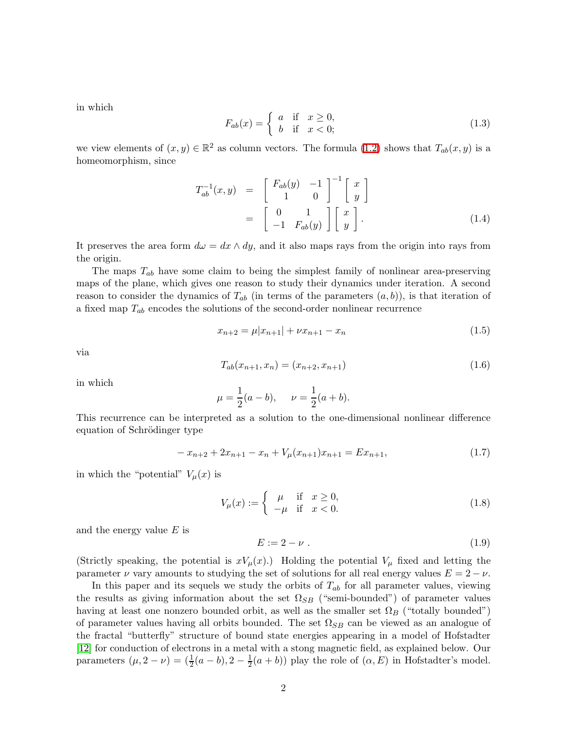in which

$$
F_{ab}(x) = \begin{cases} a & \text{if } x \ge 0, \\ b & \text{if } x < 0; \end{cases}
$$
 (1.3)

we view elements of  $(x, y) \in \mathbb{R}^2$  as column vectors. The formula [\(1.2\)](#page-0-0) shows that  $T_{ab}(x, y)$  is a homeomorphism, since

$$
T_{ab}^{-1}(x,y) = \begin{bmatrix} F_{ab}(y) & -1 \\ 1 & 0 \end{bmatrix}^{-1} \begin{bmatrix} x \\ y \end{bmatrix}
$$

$$
= \begin{bmatrix} 0 & 1 \\ -1 & F_{ab}(y) \end{bmatrix} \begin{bmatrix} x \\ y \end{bmatrix}.
$$
(1.4)

It preserves the area form  $d\omega = dx \wedge dy$ , and it also maps rays from the origin into rays from the origin.

The maps  $T_{ab}$  have some claim to being the simplest family of nonlinear area-preserving maps of the plane, which gives one reason to study their dynamics under iteration. A second reason to consider the dynamics of  $T_{ab}$  (in terms of the parameters  $(a, b)$ ), is that iteration of a fixed map  $T_{ab}$  encodes the solutions of the second-order nonlinear recurrence

<span id="page-1-0"></span>
$$
x_{n+2} = \mu |x_{n+1}| + \nu x_{n+1} - x_n \tag{1.5}
$$

via

$$
T_{ab}(x_{n+1}, x_n) = (x_{n+2}, x_{n+1})
$$
\n(1.6)

in which

$$
\mu = \frac{1}{2}(a - b), \quad \nu = \frac{1}{2}(a + b).
$$

<span id="page-1-1"></span>This recurrence can be interpreted as a solution to the one-dimensional nonlinear difference equation of Schrödinger type

$$
-x_{n+2} + 2x_{n+1} - x_n + V_{\mu}(x_{n+1})x_{n+1} = Ex_{n+1},
$$
\n(1.7)

in which the "potential"  $V_{\mu}(x)$  is

$$
V_{\mu}(x) := \begin{cases} \mu & \text{if } x \ge 0, \\ -\mu & \text{if } x < 0. \end{cases}
$$
 (1.8)

and the energy value  $E$  is

$$
E := 2 - \nu \tag{1.9}
$$

(Strictly speaking, the potential is  $xV_\mu(x)$ .) Holding the potential  $V_\mu$  fixed and letting the parameter  $\nu$  vary amounts to studying the set of solutions for all real energy values  $E = 2 - \nu$ .

In this paper and its sequels we study the orbits of  $T_{ab}$  for all parameter values, viewing the results as giving information about the set  $\Omega_{SB}$  ("semi-bounded") of parameter values having at least one nonzero bounded orbit, as well as the smaller set  $\Omega_B$  ("totally bounded") of parameter values having all orbits bounded. The set  $\Omega_{SB}$  can be viewed as an analogue of the fractal "butterfly" structure of bound state energies appearing in a model of Hofstadter [\[12\]](#page-18-0) for conduction of electrons in a metal with a stong magnetic field, as explained below. Our parameters  $(\mu, 2 - \nu) = (\frac{1}{2}(a - b), 2 - \frac{1}{2})$  $\frac{1}{2}(a+b)$  play the role of  $(\alpha, E)$  in Hofstadter's model.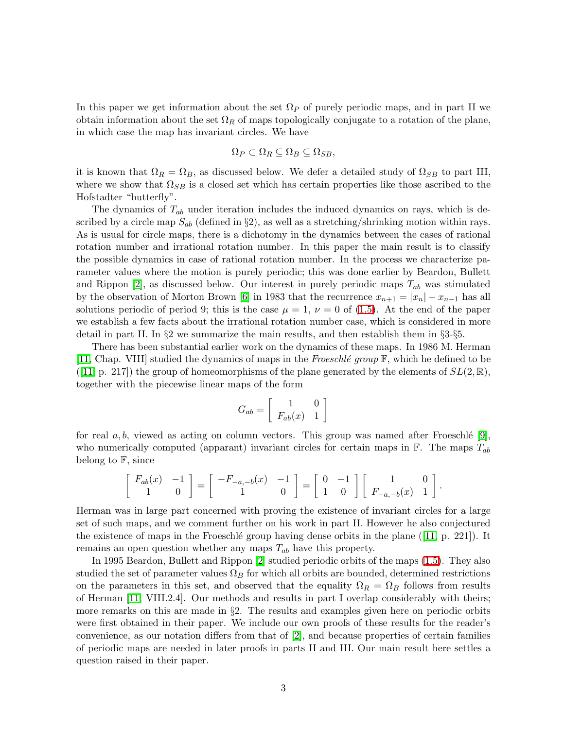In this paper we get information about the set  $\Omega_P$  of purely periodic maps, and in part II we obtain information about the set  $\Omega_R$  of maps topologically conjugate to a rotation of the plane, in which case the map has invariant circles. We have

$$
\Omega_P \subset \Omega_R \subseteq \Omega_B \subseteq \Omega_{SB},
$$

it is known that  $\Omega_R = \Omega_B$ , as discussed below. We defer a detailed study of  $\Omega_{SB}$  to part III, where we show that  $\Omega_{SB}$  is a closed set which has certain properties like those ascribed to the Hofstadter "butterfly".

The dynamics of  $T_{ab}$  under iteration includes the induced dynamics on rays, which is described by a circle map  $S_{ab}$  (defined in §2), as well as a stretching/shrinking motion within rays. As is usual for circle maps, there is a dichotomy in the dynamics between the cases of rational rotation number and irrational rotation number. In this paper the main result is to classify the possible dynamics in case of rational rotation number. In the process we characterize parameter values where the motion is purely periodic; this was done earlier by Beardon, Bullett and Rippon [\[2\]](#page-17-0), as discussed below. Our interest in purely periodic maps  $T_{ab}$  was stimulated by the observation of Morton Brown [\[6\]](#page-18-1) in 1983 that the recurrence  $x_{n+1} = |x_n| - x_{n-1}$  has all solutions periodic of period 9; this is the case  $\mu = 1$ ,  $\nu = 0$  of [\(1.5\)](#page-1-0). At the end of the paper we establish a few facts about the irrational rotation number case, which is considered in more detail in part II. In §2 we summarize the main results, and then establish them in §3-§5.

There has been substantial earlier work on the dynamics of these maps. In 1986 M. Herman [\[11,](#page-18-2) Chap. VIII] studied the dynamics of maps in the *Froeschl´e group* F, which he defined to be  $([11, p. 217])$  $([11, p. 217])$  $([11, p. 217])$  the group of homeomorphisms of the plane generated by the elements of  $SL(2, \mathbb{R}),$ together with the piecewise linear maps of the form

$$
G_{ab} = \left[ \begin{array}{cc} 1 & 0 \\ F_{ab}(x) & 1 \end{array} \right]
$$

for real  $a, b$ , viewed as acting on column vectors. This group was named after Froeschlé [\[9\]](#page-18-3), who numerically computed (apparant) invariant circles for certain maps in  $\mathbb{F}$ . The maps  $T_{ab}$ belong to  $\mathbb{F}$ , since

$$
\left[\begin{array}{cc} F_{ab}(x) & -1 \\ 1 & 0 \end{array}\right] = \left[\begin{array}{cc} -F_{-a,-b}(x) & -1 \\ 1 & 0 \end{array}\right] = \left[\begin{array}{cc} 0 & -1 \\ 1 & 0 \end{array}\right] \left[\begin{array}{cc} 1 & 0 \\ F_{-a,-b}(x) & 1 \end{array}\right].
$$

Herman was in large part concerned with proving the existence of invariant circles for a large set of such maps, and we comment further on his work in part II. However he also conjectured the existence of maps in the Froeschlé group having dense orbits in the plane ( $[11, p. 221]$  $[11, p. 221]$ ). It remains an open question whether any maps  $T_{ab}$  have this property.

In 1995 Beardon, Bullett and Rippon [\[2\]](#page-17-0) studied periodic orbits of the maps [\(1.5\)](#page-1-0). They also studied the set of parameter values  $\Omega_B$  for which all orbits are bounded, determined restrictions on the parameters in this set, and observed that the equality  $\Omega_R = \Omega_B$  follows from results of Herman [\[11,](#page-18-2) VIII.2.4]. Our methods and results in part I overlap considerably with theirs; more remarks on this are made in §2. The results and examples given here on periodic orbits were first obtained in their paper. We include our own proofs of these results for the reader's convenience, as our notation differs from that of [\[2\]](#page-17-0), and because properties of certain families of periodic maps are needed in later proofs in parts II and III. Our main result here settles a question raised in their paper.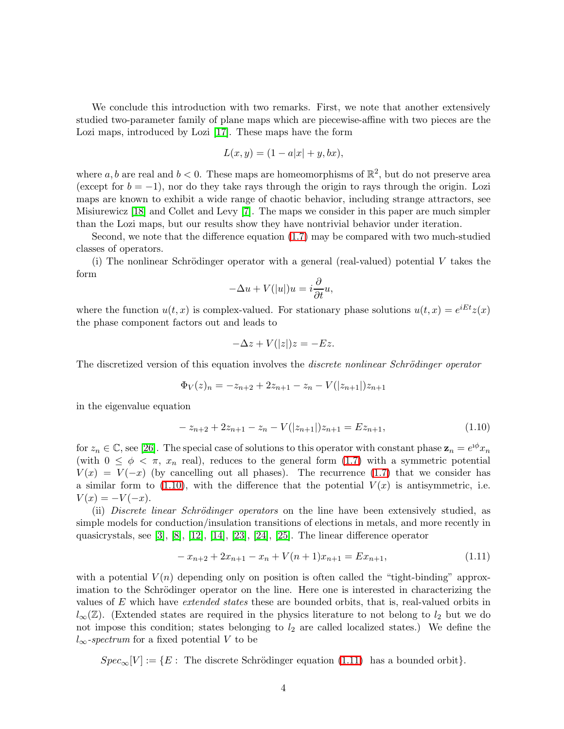We conclude this introduction with two remarks. First, we note that another extensively studied two-parameter family of plane maps which are piecewise-affine with two pieces are the Lozi maps, introduced by Lozi [\[17\]](#page-18-4). These maps have the form

$$
L(x, y) = (1 - a|x| + y, bx),
$$

where a, b are real and  $b < 0$ . These maps are homeomorphisms of  $\mathbb{R}^2$ , but do not preserve area (except for  $b = -1$ ), nor do they take rays through the origin to rays through the origin. Lozi maps are known to exhibit a wide range of chaotic behavior, including strange attractors, see Misiurewicz [\[18\]](#page-18-5) and Collet and Levy [\[7\]](#page-18-6). The maps we consider in this paper are much simpler than the Lozi maps, but our results show they have nontrivial behavior under iteration.

Second, we note that the difference equation [\(1.7\)](#page-1-1) may be compared with two much-studied classes of operators.

(i) The nonlinear Schrödinger operator with a general (real-valued) potential  $V$  takes the form

$$
-\Delta u + V(|u|)u = i\frac{\partial}{\partial t}u,
$$

where the function  $u(t, x)$  is complex-valued. For stationary phase solutions  $u(t, x) = e^{iEt}z(x)$ the phase component factors out and leads to

$$
-\Delta z + V(|z|)z = -Ez.
$$

The discretized version of this equation involves the *discrete nonlinear Schrödinger operator* 

$$
\Phi_V(z)_n = -z_{n+2} + 2z_{n+1} - z_n - V(|z_{n+1}|)z_{n+1}
$$

<span id="page-3-0"></span>in the eigenvalue equation

$$
-z_{n+2} + 2z_{n+1} - z_n - V(|z_{n+1}|)z_{n+1} = Ez_{n+1},
$$
\n(1.10)

for  $z_n \in \mathbb{C}$ , see [\[26\]](#page-19-0). The special case of solutions to this operator with constant phase  $\mathbf{z}_n = e^{i\phi} x_n$ (with  $0 \leq \phi \leq \pi$ ,  $x_n$  real), reduces to the general form [\(1.7\)](#page-1-1) with a symmetric potential  $V(x) = V(-x)$  (by cancelling out all phases). The recurrence [\(1.7\)](#page-1-1) that we consider has a similar form to  $(1.10)$ , with the difference that the potential  $V(x)$  is antisymmetric, i.e.  $V(x) = -V(-x)$ .

<span id="page-3-1"></span>(ii) *Discrete linear Schrödinger operators* on the line have been extensively studied, as simple models for conduction/insulation transitions of elections in metals, and more recently in quasicrystals, see [\[3\]](#page-18-7), [\[8\]](#page-18-8), [\[12\]](#page-18-0), [\[14\]](#page-18-9), [\[23\]](#page-19-1), [\[24\]](#page-19-2), [\[25\]](#page-19-3). The linear difference operator

$$
-x_{n+2} + 2x_{n+1} - x_n + V(n+1)x_{n+1} = Ex_{n+1},
$$
\n(1.11)

with a potential  $V(n)$  depending only on position is often called the "tight-binding" approximation to the Schrödinger operator on the line. Here one is interested in characterizing the values of E which have *extended states* these are bounded orbits, that is, real-valued orbits in  $l_{\infty}(\mathbb{Z})$ . (Extended states are required in the physics literature to not belong to  $l_2$  but we do not impose this condition; states belonging to  $l_2$  are called localized states.) We define the  $l_{\infty}$ -spectrum for a fixed potential V to be

 $Spec_{\infty}[V] := \{E :$  The discrete Schrödinger equation [\(1.11\)](#page-3-1) has a bounded orbit}.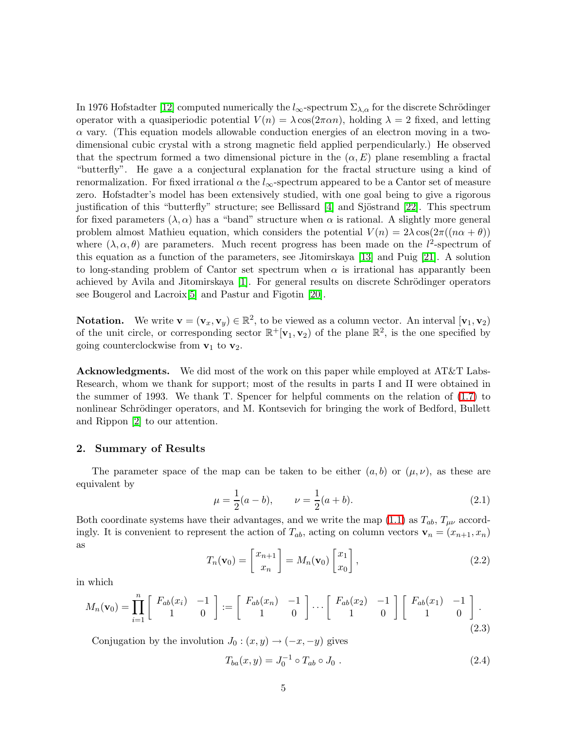In 1976 Hofstadter [\[12\]](#page-18-0) computed numerically the  $l_{\infty}$ -spectrum  $\Sigma_{\lambda,\alpha}$  for the discrete Schrödinger operator with a quasiperiodic potential  $V(n) = \lambda \cos(2\pi \alpha n)$ , holding  $\lambda = 2$  fixed, and letting  $\alpha$  vary. (This equation models allowable conduction energies of an electron moving in a twodimensional cubic crystal with a strong magnetic field applied perpendicularly.) He observed that the spectrum formed a two dimensional picture in the  $(\alpha, E)$  plane resembling a fractal "butterfly". He gave a a conjectural explanation for the fractal structure using a kind of renormalization. For fixed irrational  $\alpha$  the  $l_{\infty}$ -spectrum appeared to be a Cantor set of measure zero. Hofstadter's model has been extensively studied, with one goal being to give a rigorous justification of this "butterfly" structure; see Bellissard [\[4\]](#page-18-10) and Sjöstrand [\[22\]](#page-19-4). This spectrum for fixed parameters  $(\lambda, \alpha)$  has a "band" structure when  $\alpha$  is rational. A slightly more general problem almost Mathieu equation, which considers the potential  $V(n) = 2\lambda \cos(2\pi((n\alpha + \theta)))$ where  $(\lambda, \alpha, \theta)$  are parameters. Much recent progress has been made on the l<sup>2</sup>-spectrum of this equation as a function of the parameters, see Jitomirskaya [\[13\]](#page-18-11) and Puig [\[21\]](#page-19-5). A solution to long-standing problem of Cantor set spectrum when  $\alpha$  is irrational has apparantly been achieved by Avila and Jitomirskaya [\[1\]](#page-17-1). For general results on discrete Schrödinger operators see Bougerol and Lacroix[\[5\]](#page-18-12) and Pastur and Figotin [\[20\]](#page-19-6).

**Notation.** We write  $\mathbf{v} = (\mathbf{v}_x, \mathbf{v}_y) \in \mathbb{R}^2$ , to be viewed as a column vector. An interval  $[\mathbf{v}_1, \mathbf{v}_2)$ of the unit circle, or corresponding sector  $\mathbb{R}^+[\mathbf{v}_1, \mathbf{v}_2)$  of the plane  $\mathbb{R}^2$ , is the one specified by going counterclockwise from  $v_1$  to  $v_2$ .

Acknowledgments. We did most of the work on this paper while employed at AT&T Labs-Research, whom we thank for support; most of the results in parts I and II were obtained in the summer of 1993. We thank T. Spencer for helpful comments on the relation of [\(1.7\)](#page-1-1) to nonlinear Schrödinger operators, and M. Kontsevich for bringing the work of Bedford, Bullett and Rippon [\[2\]](#page-17-0) to our attention.

#### 2. Summary of Results

The parameter space of the map can be taken to be either  $(a, b)$  or  $(\mu, \nu)$ , as these are equivalent by

$$
\mu = \frac{1}{2}(a - b), \qquad \nu = \frac{1}{2}(a + b). \tag{2.1}
$$

Both coordinate systems have their advantages, and we write the map [\(1.1\)](#page-0-1) as  $T_{ab}$ ,  $T_{\mu\nu}$  accordingly. It is convenient to represent the action of  $T_{ab}$ , acting on column vectors  $\mathbf{v}_n = (x_{n+1}, x_n)$ as

$$
T_n(\mathbf{v}_0) = \begin{bmatrix} x_{n+1} \\ x_n \end{bmatrix} = M_n(\mathbf{v}_0) \begin{bmatrix} x_1 \\ x_0 \end{bmatrix},
$$
\n(2.2)

in which

$$
M_n(\mathbf{v}_0) = \prod_{i=1}^n \begin{bmatrix} F_{ab}(x_i) & -1 \\ 1 & 0 \end{bmatrix} := \begin{bmatrix} F_{ab}(x_n) & -1 \\ 1 & 0 \end{bmatrix} \cdots \begin{bmatrix} F_{ab}(x_2) & -1 \\ 1 & 0 \end{bmatrix} \begin{bmatrix} F_{ab}(x_1) & -1 \\ 1 & 0 \end{bmatrix}.
$$
\n(2.3)

Conjugation by the involution  $J_0$ :  $(x, y) \rightarrow (-x, -y)$  gives

<span id="page-4-0"></span>
$$
T_{ba}(x,y) = J_0^{-1} \circ T_{ab} \circ J_0 . \qquad (2.4)
$$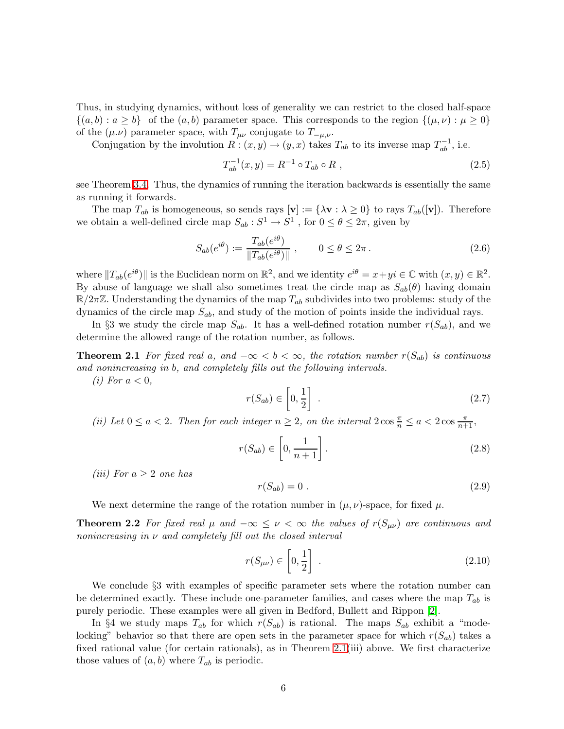Thus, in studying dynamics, without loss of generality we can restrict to the closed half-space  $\{(a, b) : a \ge b\}$  of the  $(a, b)$  parameter space. This corresponds to the region  $\{(a, \nu) : \mu \ge 0\}$ of the  $(\mu.\nu)$  parameter space, with  $T_{\mu\nu}$  conjugate to  $T_{-\mu,\nu}$ .

<span id="page-5-3"></span>Conjugation by the involution  $R: (x, y) \to (y, x)$  takes  $T_{ab}$  to its inverse map  $T_{ab}^{-1}$ , i.e.

$$
T_{ab}^{-1}(x,y) = R^{-1} \circ T_{ab} \circ R , \qquad (2.5)
$$

see Theorem [3.4.](#page-10-0) Thus, the dynamics of running the iteration backwards is essentially the same as running it forwards.

The map  $T_{ab}$  is homogeneous, so sends rays  $[\mathbf{v}] := {\lambda \mathbf{v} : \lambda \geq 0}$  to rays  $T_{ab}([\mathbf{v}])$ . Therefore we obtain a well-defined circle map  $S_{ab}: S^1 \to S^1$ , for  $0 \le \theta \le 2\pi$ , given by

$$
S_{ab}(e^{i\theta}) := \frac{T_{ab}(e^{i\theta})}{\|T_{ab}(e^{i\theta})\|}, \qquad 0 \le \theta \le 2\pi.
$$
 (2.6)

where  $||T_{ab}(e^{i\theta})||$  is the Euclidean norm on  $\mathbb{R}^2$ , and we identity  $e^{i\theta} = x + yi \in \mathbb{C}$  with  $(x, y) \in \mathbb{R}^2$ . By abuse of language we shall also sometimes treat the circle map as  $S_{ab}(\theta)$  having domain  $\mathbb{R}/2\pi\mathbb{Z}$ . Understanding the dynamics of the map  $T_{ab}$  subdivides into two problems: study of the dynamics of the circle map  $S_{ab}$ , and study of the motion of points inside the individual rays.

In §3 we study the circle map  $S_{ab}$ . It has a well-defined rotation number  $r(S_{ab})$ , and we determine the allowed range of the rotation number, as follows.

**Theorem 2.1** *For fixed real* a, and  $-\infty < b < \infty$ , the rotation number  $r(S_{ab})$  *is continuous and nonincreasing in* b*, and completely fills out the following intervals.*

*(i)* For  $a < 0$ ,

<span id="page-5-0"></span>
$$
r(S_{ab}) \in \left[0, \frac{1}{2}\right] \tag{2.7}
$$

(*ii*) Let  $0 \le a < 2$ . Then for each integer  $n \ge 2$ , on the interval  $2 \cos \frac{\pi}{n} \le a < 2 \cos \frac{\pi}{n+1}$ ,

$$
r(S_{ab}) \in \left[0, \frac{1}{n+1}\right].
$$
\n(2.8)

*(iii)* For  $a \geq 2$  *one* has

<span id="page-5-1"></span>
$$
r(S_{ab}) = 0 \tag{2.9}
$$

We next determine the range of the rotation number in  $(\mu, \nu)$ -space, for fixed  $\mu$ .

**Theorem 2.2** For fixed real  $\mu$  and  $-\infty \leq \nu < \infty$  the values of  $r(S_{\mu\nu})$  are continuous and *nonincreasing in* ν *and completely fill out the closed interval*

$$
r(S_{\mu\nu}) \in \left[0, \frac{1}{2}\right] \tag{2.10}
$$

We conclude §3 with examples of specific parameter sets where the rotation number can be determined exactly. These include one-parameter families, and cases where the map  $T_{ab}$  is purely periodic. These examples were all given in Bedford, Bullett and Rippon [\[2\]](#page-17-0).

<span id="page-5-2"></span>In §4 we study maps  $T_{ab}$  for which  $r(S_{ab})$  is rational. The maps  $S_{ab}$  exhibit a "modelocking" behavior so that there are open sets in the parameter space for which  $r(S_{ab})$  takes a fixed rational value (for certain rationals), as in Theorem [2.1\(](#page-5-0)iii) above. We first characterize those values of  $(a, b)$  where  $T_{ab}$  is periodic.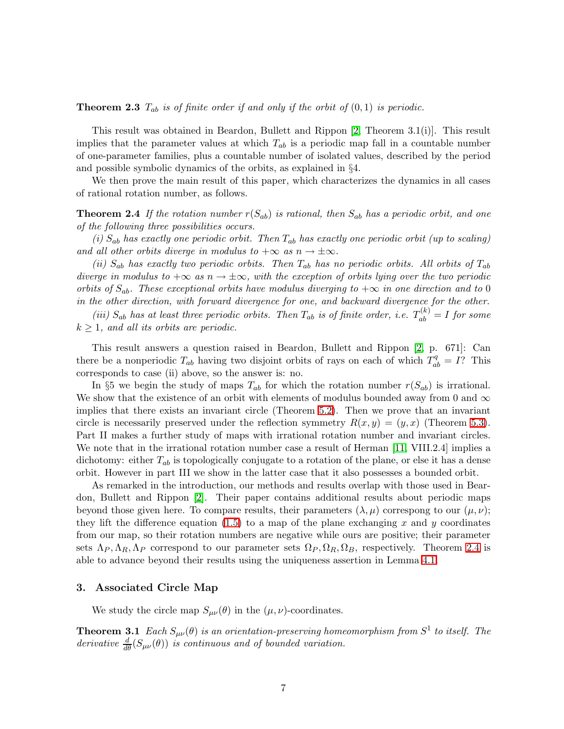**Theorem 2.3**  $T_{ab}$  *is of finite order if and only if the orbit of*  $(0,1)$  *is periodic.* 

This result was obtained in Beardon, Bullett and Rippon [\[2,](#page-17-0) Theorem 3.1(i)]. This result implies that the parameter values at which  $T_{ab}$  is a periodic map fall in a countable number of one-parameter families, plus a countable number of isolated values, described by the period and possible symbolic dynamics of the orbits, as explained in §4.

<span id="page-6-0"></span>We then prove the main result of this paper, which characterizes the dynamics in all cases of rational rotation number, as follows.

**Theorem 2.4** If the rotation number  $r(S_{ab})$  is rational, then  $S_{ab}$  has a periodic orbit, and one *of the following three possibilities occurs.*

*(i)* Sab *has exactly one periodic orbit. Then* Tab *has exactly one periodic orbit (up to scaling) and all other orbits diverge in modulus to*  $+\infty$  *as*  $n \to \pm \infty$ *.* 

*(ii)*  $S_{ab}$  *has exactly two periodic orbits. Then*  $T_{ab}$  *has no periodic orbits. All orbits of*  $T_{ab}$ *diverge in modulus to*  $+\infty$  *as*  $n \to \pm \infty$ *, with the exception of orbits lying over the two periodic orbits of*  $S_{ab}$ . These exceptional orbits have modulus diverging to  $+\infty$  in one direction and to 0 *in the other direction, with forward divergence for one, and backward divergence for the other.*

(*iii*)  $S_{ab}$  has at least three periodic orbits. Then  $T_{ab}$  is of finite order, i.e.  $T_{ab}^{(k)} = I$  for some k ≥ 1*, and all its orbits are periodic.*

This result answers a question raised in Beardon, Bullett and Rippon [\[2,](#page-17-0) p. 671]: Can there be a nonperiodic  $T_{ab}$  having two disjoint orbits of rays on each of which  $T_{ab}^q = I$ ? This corresponds to case (ii) above, so the answer is: no.

In §5 we begin the study of maps  $T_{ab}$  for which the rotation number  $r(S_{ab})$  is irrational. We show that the existence of an orbit with elements of modulus bounded away from 0 and  $\infty$ implies that there exists an invariant circle (Theorem [5.2\)](#page-16-0). Then we prove that an invariant circle is necessarily preserved under the reflection symmetry  $R(x, y) = (y, x)$  (Theorem [5.3\)](#page-17-2). Part II makes a further study of maps with irrational rotation number and invariant circles. We note that in the irrational rotation number case a result of Herman [\[11,](#page-18-2) VIII.2.4] implies a dichotomy: either  $T_{ab}$  is topologically conjugate to a rotation of the plane, or else it has a dense orbit. However in part III we show in the latter case that it also possesses a bounded orbit.

As remarked in the introduction, our methods and results overlap with those used in Beardon, Bullett and Rippon [\[2\]](#page-17-0). Their paper contains additional results about periodic maps beyond those given here. To compare results, their parameters  $(\lambda, \mu)$  correspong to our  $(\mu, \nu)$ ; they lift the difference equation  $(1.5)$  to a map of the plane exchanging x and y coordinates from our map, so their rotation numbers are negative while ours are positive; their parameter sets  $\Lambda_P, \Lambda_R, \Lambda_P$  correspond to our parameter sets  $\Omega_P, \Omega_R, \Omega_B$ , respectively. Theorem [2.4](#page-6-0) is able to advance beyond their results using the uniqueness assertion in Lemma [4.1.](#page-14-0)

#### 3. Associated Circle Map

<span id="page-6-1"></span>We study the circle map  $S_{\mu\nu}(\theta)$  in the  $(\mu, \nu)$ -coordinates.

**Theorem 3.1** Each  $S_{\mu\nu}(\theta)$  is an orientation-preserving homeomorphism from  $S^1$  to itself. The derivative  $\frac{d}{d\theta}(S_{\mu\nu}(\theta))$  *is continuous and of bounded variation.*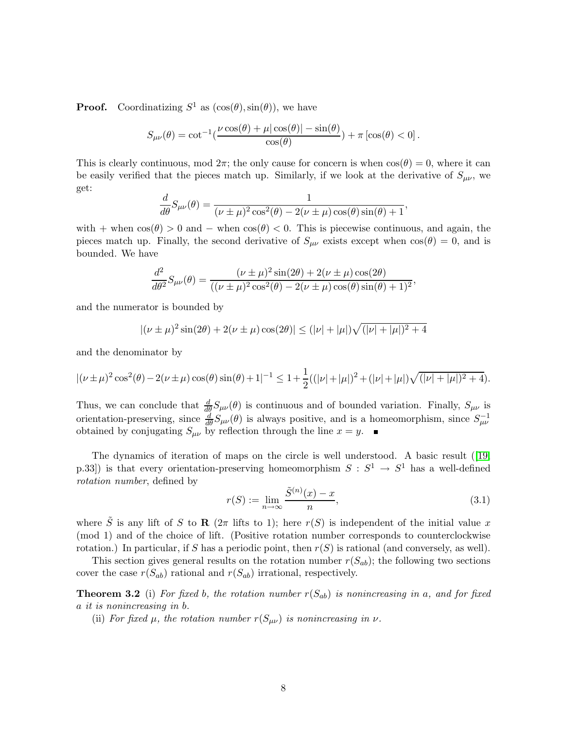**Proof.** Coordinatizing  $S^1$  as  $(\cos(\theta), \sin(\theta))$ , we have

$$
S_{\mu\nu}(\theta) = \cot^{-1}\left(\frac{\nu\cos(\theta) + \mu|\cos(\theta)| - \sin(\theta)}{\cos(\theta)}\right) + \pi\left[\cos(\theta) < 0\right].
$$

This is clearly continuous, mod  $2\pi$ ; the only cause for concern is when  $\cos(\theta) = 0$ , where it can be easily verified that the pieces match up. Similarly, if we look at the derivative of  $S_{\mu\nu}$ , we get:

$$
\frac{d}{d\theta}S_{\mu\nu}(\theta) = \frac{1}{(\nu \pm \mu)^2 \cos^2(\theta) - 2(\nu \pm \mu) \cos(\theta) \sin(\theta) + 1},
$$

with + when  $\cos(\theta) > 0$  and – when  $\cos(\theta) < 0$ . This is piecewise continuous, and again, the pieces match up. Finally, the second derivative of  $S_{\mu\nu}$  exists except when  $\cos(\theta) = 0$ , and is bounded. We have

$$
\frac{d^2}{d\theta^2}S_{\mu\nu}(\theta) = \frac{(\nu \pm \mu)^2 \sin(2\theta) + 2(\nu \pm \mu) \cos(2\theta)}{((\nu \pm \mu)^2 \cos^2(\theta) - 2(\nu \pm \mu) \cos(\theta) \sin(\theta) + 1)^2},
$$

and the numerator is bounded by

$$
|(\nu \pm \mu)^2 \sin(2\theta) + 2(\nu \pm \mu) \cos(2\theta)| \le (|\nu| + |\mu|) \sqrt{(|\nu| + |\mu|)^2 + 4}
$$

and the denominator by

$$
|(\nu \pm \mu)^2 \cos^2(\theta) - 2(\nu \pm \mu) \cos(\theta) \sin(\theta) + 1|^{-1} \le 1 + \frac{1}{2}((|\nu| + |\mu|)^2 + (|\nu| + |\mu|)\sqrt{(|\nu| + |\mu|)^2 + 4}).
$$

Thus, we can conclude that  $\frac{d}{d\theta}S_{\mu\nu}(\theta)$  is continuous and of bounded variation. Finally,  $S_{\mu\nu}$  is orientation-preserving, since  $\frac{d}{d\theta}S_{\mu\nu}(\theta)$  is always positive, and is a homeomorphism, since  $S_{\mu\nu}^{-1}$ obtained by conjugating  $S_{\mu\nu}$  by reflection through the line  $x = y$ .

The dynamics of iteration of maps on the circle is well understood. A basic result ([\[19,](#page-19-7) p.33) is that every orientation-preserving homeomorphism  $S : S^1 \to S^1$  has a well-defined *rotation number*, defined by

<span id="page-7-1"></span><span id="page-7-0"></span>
$$
r(S) := \lim_{n \to \infty} \frac{\tilde{S}^{(n)}(x) - x}{n},\tag{3.1}
$$

where  $\tilde{S}$  is any lift of S to R ( $2\pi$  lifts to 1); here  $r(S)$  is independent of the initial value x (mod 1) and of the choice of lift. (Positive rotation number corresponds to counterclockwise rotation.) In particular, if S has a periodic point, then  $r(S)$  is rational (and conversely, as well).

This section gives general results on the rotation number  $r(S_{ab})$ ; the following two sections cover the case  $r(S_{ab})$  rational and  $r(S_{ab})$  irrational, respectively.

**Theorem 3.2** (i) For fixed b, the rotation number  $r(S_{ab})$  is nonincreasing in a, and for fixed a *it is nonincreasing in* b*.*

(ii) *For fixed*  $\mu$ *, the rotation number*  $r(S_{\mu\nu})$  *is nonincreasing in*  $\nu$ *.*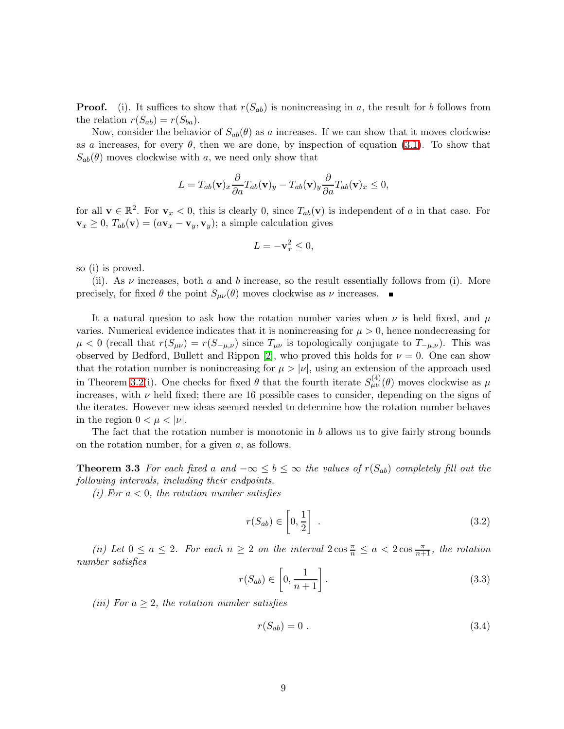**Proof.** (i). It suffices to show that  $r(S_{ab})$  is nonincreasing in a, the result for b follows from the relation  $r(S_{ab}) = r(S_{ba})$ .

Now, consider the behavior of  $S_{ab}(\theta)$  as a increases. If we can show that it moves clockwise as a increases, for every  $\theta$ , then we are done, by inspection of equation [\(3.1\)](#page-7-0). To show that  $S_{ab}(\theta)$  moves clockwise with a, we need only show that

$$
L = T_{ab}(\mathbf{v})_x \frac{\partial}{\partial a} T_{ab}(\mathbf{v})_y - T_{ab}(\mathbf{v})_y \frac{\partial}{\partial a} T_{ab}(\mathbf{v})_x \le 0,
$$

for all  $\mathbf{v} \in \mathbb{R}^2$ . For  $\mathbf{v}_x < 0$ , this is clearly 0, since  $T_{ab}(\mathbf{v})$  is independent of a in that case. For  $\mathbf{v}_x \geq 0$ ,  $T_{ab}(\mathbf{v}) = (a\mathbf{v}_x - \mathbf{v}_y, \mathbf{v}_y)$ ; a simple calculation gives

$$
L = -\mathbf{v}_x^2 \le 0,
$$

so (i) is proved.

(ii). As  $\nu$  increases, both a and b increase, so the result essentially follows from (i). More precisely, for fixed  $\theta$  the point  $S_{\mu\nu}(\theta)$  moves clockwise as  $\nu$  increases.

It a natural quesion to ask how the rotation number varies when  $\nu$  is held fixed, and  $\mu$ varies. Numerical evidence indicates that it is nonincreasing for  $\mu > 0$ , hence nondecreasing for  $\mu < 0$  (recall that  $r(S_{\mu\nu}) = r(S_{-\mu,\nu})$  since  $T_{\mu\nu}$  is topologically conjugate to  $T_{-\mu,\nu}$ ). This was observed by Bedford, Bullett and Rippon [\[2\]](#page-17-0), who proved this holds for  $\nu = 0$ . One can show that the rotation number is nonincreasing for  $\mu > |\nu|$ , using an extension of the approach used in Theorem [3.2\(](#page-7-1)i). One checks for fixed  $\theta$  that the fourth iterate  $S_{\mu\nu}^{(4)}(\theta)$  moves clockwise as  $\mu$ increases, with  $\nu$  held fixed; there are 16 possible cases to consider, depending on the signs of the iterates. However new ideas seemed needed to determine how the rotation number behaves in the region  $0 < \mu < |\nu|$ .

The fact that the rotation number is monotonic in  $b$  allows us to give fairly strong bounds on the rotation number, for a given  $a$ , as follows.

**Theorem 3.3** *For each fixed a and*  $-\infty \le b \le \infty$  *the values of*  $r(S_{ab})$  *completely fill out the following intervals, including their endpoints.*

*(i) For* a < 0*, the rotation number satisfies*

$$
r(S_{ab}) \in \left[0, \frac{1}{2}\right] \tag{3.2}
$$

(*ii*) Let  $0 \le a \le 2$ . For each  $n \ge 2$  on the interval  $2 \cos \frac{\pi}{n} \le a < 2 \cos \frac{\pi}{n+1}$ , the rotation *number satisfies*

$$
r(S_{ab}) \in \left[0, \frac{1}{n+1}\right].\tag{3.3}
$$

*(iii)* For  $a \geq 2$ *, the rotation number satisfies* 

$$
r(S_{ab}) = 0 \tag{3.4}
$$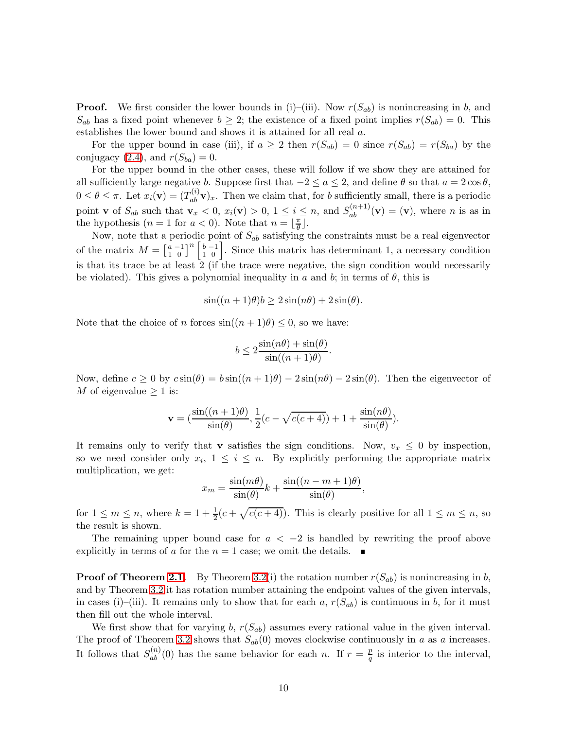**Proof.** We first consider the lower bounds in (i)–(iii). Now  $r(S_{ab})$  is nonincreasing in b, and  $S_{ab}$  has a fixed point whenever  $b \geq 2$ ; the existence of a fixed point implies  $r(S_{ab}) = 0$ . This establishes the lower bound and shows it is attained for all real a.

For the upper bound in case (iii), if  $a \geq 2$  then  $r(S_{ab}) = 0$  since  $r(S_{ab}) = r(S_{ba})$  by the conjugacy [\(2.4\)](#page-4-0), and  $r(S_{ba}) = 0$ .

For the upper bound in the other cases, these will follow if we show they are attained for all sufficiently large negative b. Suppose first that  $-2 \le a \le 2$ , and define  $\theta$  so that  $a = 2 \cos \theta$ ,  $0 \le \theta \le \pi$ . Let  $x_i(\mathbf{v}) = (T_{ab}^{(i)} \mathbf{v})_x$ . Then we claim that, for b sufficiently small, there is a periodic point **v** of  $S_{ab}$  such that  $\mathbf{v}_x < 0$ ,  $x_i(\mathbf{v}) > 0$ ,  $1 \leq i \leq n$ , and  $S_{ab}^{(n+1)}(\mathbf{v}) = (\mathbf{v})$ , where *n* is as in the hypothesis  $(n = 1 \text{ for } a < 0)$ . Note that  $n = \lfloor \frac{\pi}{\theta} \rfloor$  $\frac{\pi}{\theta}$ .

Now, note that a periodic point of  $S_{ab}$  satisfying the constraints must be a real eigenvector of the matrix  $M = \begin{bmatrix} a \\ 1 \end{bmatrix}$ 1 −1  $\begin{bmatrix} -1 \\ 0 \end{bmatrix}$ <sup>n</sup>  $\begin{bmatrix} b \\ 1 \end{bmatrix}$ 1 −1  $\begin{bmatrix} 0 \\ 0 \end{bmatrix}$ . Since this matrix has determinant 1, a necessary condition is that its trace be at least 2 (if the trace were negative, the sign condition would necessarily be violated). This gives a polynomial inequality in a and b; in terms of  $\theta$ , this is

$$
\sin((n+1)\theta)b \ge 2\sin(n\theta) + 2\sin(\theta).
$$

Note that the choice of n forces  $sin((n+1)\theta) \leq 0$ , so we have:

$$
b \le 2 \frac{\sin(n\theta) + \sin(\theta)}{\sin((n+1)\theta)}.
$$

Now, define  $c \ge 0$  by  $c \sin(\theta) = b \sin((n+1)\theta) - 2 \sin(n\theta) - 2 \sin(\theta)$ . Then the eigenvector of M of eigenvalue  $\geq 1$  is:

$$
\mathbf{v} = \left(\frac{\sin((n+1)\theta)}{\sin(\theta)}, \frac{1}{2}(c - \sqrt{c(c+4)}) + 1 + \frac{\sin(n\theta)}{\sin(\theta)}\right).
$$

It remains only to verify that v satisfies the sign conditions. Now,  $v_x \leq 0$  by inspection, so we need consider only  $x_i$ ,  $1 \leq i \leq n$ . By explicitly performing the appropriate matrix multiplication, we get:

$$
x_m = \frac{\sin(m\theta)}{\sin(\theta)}k + \frac{\sin((n-m+1)\theta)}{\sin(\theta)},
$$

for  $1 \leq m \leq n$ , where  $k = 1 + \frac{1}{2}(c + \sqrt{c(c+4)})$ . This is clearly positive for all  $1 \leq m \leq n$ , so the result is shown.

The remaining upper bound case for  $a < -2$  is handled by rewriting the proof above explicitly in terms of a for the  $n = 1$  case; we omit the details.

**Proof of Theorem [2.1.](#page-5-0)** By Theorem [3.2\(](#page-7-1)i) the rotation number  $r(S_{ab})$  is nonincreasing in b, and by Theorem [3.2](#page-7-1) it has rotation number attaining the endpoint values of the given intervals, in cases (i)–(iii). It remains only to show that for each a,  $r(S_{ab})$  is continuous in b, for it must then fill out the whole interval.

We first show that for varying b,  $r(S_{ab})$  assumes every rational value in the given interval. The proof of Theorem [3.2](#page-7-1) shows that  $S_{ab}(0)$  moves clockwise continuously in a as a increases. It follows that  $S_{ab}^{(n)}(0)$  has the same behavior for each n. If  $r = \frac{p}{q}$  $\frac{p}{q}$  is interior to the interval,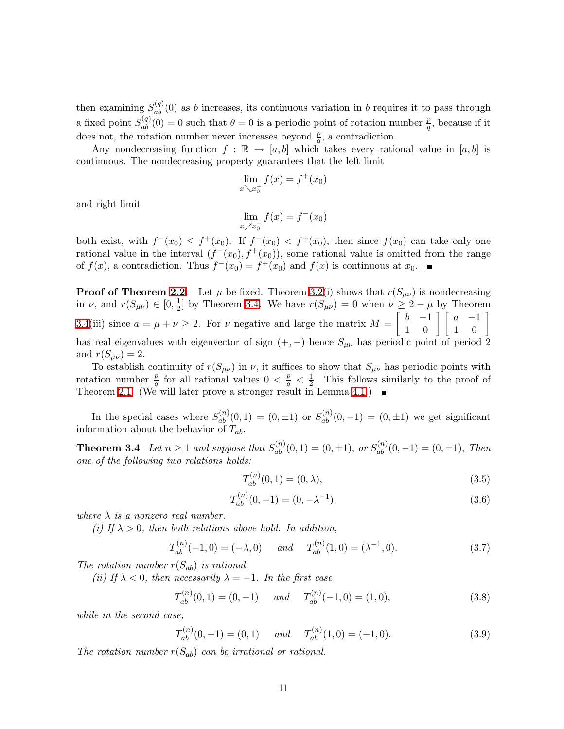then examining  $S_{ab}^{(q)}(0)$  as b increases, its continuous variation in b requires it to pass through a fixed point  $S_{ab}^{(q)}(0) = 0$  such that  $\theta = 0$  is a periodic point of rotation number  $\frac{p}{q}$ , because if it does not, the rotation number never increases beyond  $\frac{p}{q}$ , a contradiction.

Any nondecreasing function  $f : \mathbb{R} \to [a, b]$  which takes every rational value in  $[a, b]$  is continuous. The nondecreasing property guarantees that the left limit

$$
\lim_{x \searrow x_0^+} f(x) = f^+(x_0)
$$

and right limit

$$
\lim_{x \nearrow x_0^-} f(x) = f^-(x_0)
$$

both exist, with  $f^-(x_0) \leq f^+(x_0)$ . If  $f^-(x_0) < f^+(x_0)$ , then since  $f(x_0)$  can take only one rational value in the interval  $(f^-(x_0), f^+(x_0))$ , some rational value is omitted from the range of  $f(x)$ , a contradiction. Thus  $f^{-}(x_0) = f^{+}(x_0)$  and  $f(x)$  is continuous at  $x_0$ .

**Proof of Theorem [2.2.](#page-5-1)** Let  $\mu$  be fixed. Theorem [3.2\(](#page-7-1)i) shows that  $r(S_{\mu\nu})$  is nondecreasing in  $\nu$ , and  $r(S_{\mu\nu}) \in [0, \frac{1}{2}]$  $\frac{1}{2}$  by Theorem [3.4.](#page-10-0) We have  $r(S_{\mu\nu}) = 0$  when  $\nu \geq 2 - \mu$  by Theorem [3.4\(](#page-10-0)iii) since  $a = \mu + \nu \ge 2$ . For  $\nu$  negative and large the matrix  $M = \begin{bmatrix} b & -1 \\ 1 & 0 \end{bmatrix} \begin{bmatrix} a & -1 \\ 1 & 0 \end{bmatrix}$ has real eigenvalues with eigenvector of sign  $(+, -)$  hence  $S_{\mu\nu}$  has periodic point of period 2 and  $r(S_{\mu\nu})=2$ .

To establish continuity of  $r(S_{\mu\nu})$  in  $\nu$ , it suffices to show that  $S_{\mu\nu}$  has periodic points with rotation number  $\frac{p}{q}$  for all rational values  $0 < \frac{p}{q} < \frac{1}{2}$  $\frac{1}{2}$ . This follows similarly to the proof of Theorem [2.1.](#page-5-0) (We will later prove a stronger result in Lemma [4.1.](#page-14-0))

<span id="page-10-0"></span>In the special cases where  $S_{ab}^{(n)}(0,1) = (0,\pm 1)$  or  $S_{ab}^{(n)}(0,-1) = (0,\pm 1)$  we get significant information about the behavior of  $T_{ab}$ .

**Theorem 3.4** *Let*  $n \ge 1$  *and suppose that*  $S_{ab}^{(n)}(0,1) = (0,\pm 1)$ , *or*  $S_{ab}^{(n)}(0,-1) = (0,\pm 1)$ , *Then one of the following two relations holds:*

$$
T_{ab}^{(n)}(0,1) = (0,\lambda),\tag{3.5}
$$

<span id="page-10-1"></span>
$$
T_{ab}^{(n)}(0,-1) = (0,-\lambda^{-1}).
$$
\n(3.6)

*where*  $\lambda$  *is a nonzero real number.* 

*(i)* If  $\lambda > 0$ , then both relations above hold. In addition,

<span id="page-10-2"></span>
$$
T_{ab}^{(n)}(-1,0) = (-\lambda,0) \quad \text{and} \quad T_{ab}^{(n)}(1,0) = (\lambda^{-1},0). \tag{3.7}
$$

The rotation number  $r(S_{ab})$  is rational.

*(ii)* If  $\lambda < 0$ , then necessarily  $\lambda = -1$ . In the first case

$$
T_{ab}^{(n)}(0,1) = (0,-1) \quad and \quad T_{ab}^{(n)}(-1,0) = (1,0), \tag{3.8}
$$

*while in the second case,*

$$
T_{ab}^{(n)}(0,-1) = (0,1) \qquad and \qquad T_{ab}^{(n)}(1,0) = (-1,0). \tag{3.9}
$$

The rotation number  $r(S_{ab})$  can be irrational or rational.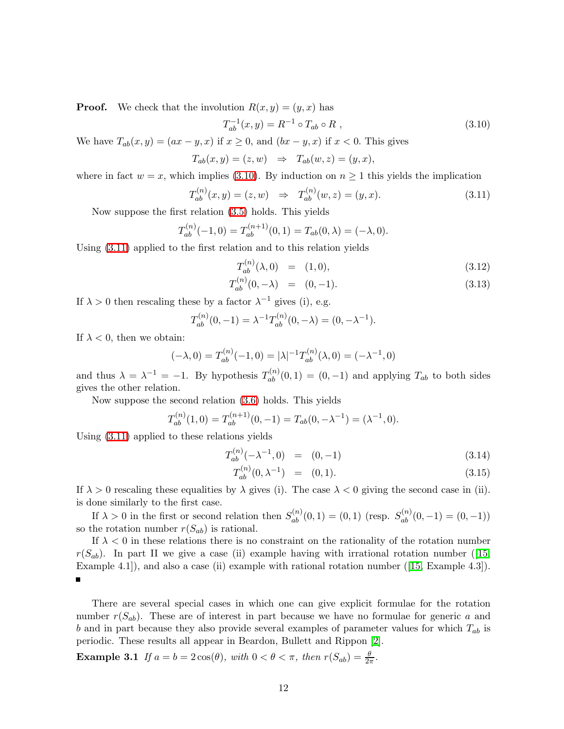**Proof.** We check that the involution  $R(x, y) = (y, x)$  has

$$
T_{ab}^{-1}(x,y) = R^{-1} \circ T_{ab} \circ R , \qquad (3.10)
$$

We have  $T_{ab}(x, y) = (ax - y, x)$  if  $x \ge 0$ , and  $(bx - y, x)$  if  $x < 0$ . This gives

<span id="page-11-0"></span>
$$
T_{ab}(x,y) = (z,w) \Rightarrow T_{ab}(w,z) = (y,x),
$$

<span id="page-11-1"></span>where in fact  $w = x$ , which implies [\(3.10\)](#page-11-0). By induction on  $n \ge 1$  this yields the implication

$$
T_{ab}^{(n)}(x,y) = (z,w) \Rightarrow T_{ab}^{(n)}(w,z) = (y,x). \tag{3.11}
$$

Now suppose the first relation [\(3.5\)](#page-10-1) holds. This yields

$$
T_{ab}^{(n)}(-1,0) = T_{ab}^{(n+1)}(0,1) = T_{ab}(0,\lambda) = (-\lambda,0).
$$

Using [\(3.11\)](#page-11-1) applied to the first relation and to this relation yields

$$
T_{ab}^{(n)}(\lambda,0) = (1,0), \tag{3.12}
$$

$$
T_{ab}^{(n)}(0,-\lambda) = (0,-1). \tag{3.13}
$$

If  $\lambda > 0$  then rescaling these by a factor  $\lambda^{-1}$  gives (i), e.g.

$$
T_{ab}^{(n)}(0,-1) = \lambda^{-1} T_{ab}^{(n)}(0,-\lambda) = (0,-\lambda^{-1}).
$$

If  $\lambda < 0$ , then we obtain:

$$
(-\lambda, 0) = T_{ab}^{(n)}(-1, 0) = |\lambda|^{-1} T_{ab}^{(n)}(\lambda, 0) = (-\lambda^{-1}, 0)
$$

and thus  $\lambda = \lambda^{-1} = -1$ . By hypothesis  $T_{ab}^{(n)}(0,1) = (0,-1)$  and applying  $T_{ab}$  to both sides gives the other relation.

Now suppose the second relation [\(3.6\)](#page-10-2) holds. This yields

$$
T_{ab}^{(n)}(1,0) = T_{ab}^{(n+1)}(0,-1) = T_{ab}(0,-\lambda^{-1}) = (\lambda^{-1},0).
$$

Using [\(3.11\)](#page-11-1) applied to these relations yields

$$
T_{ab}^{(n)}(-\lambda^{-1},0) = (0,-1)
$$
\n(3.14)

$$
T_{ab}^{(n)}(0,\lambda^{-1}) = (0,1). \tag{3.15}
$$

If  $\lambda > 0$  rescaling these equalities by  $\lambda$  gives (i). The case  $\lambda < 0$  giving the second case in (ii). is done similarly to the first case.

If  $\lambda > 0$  in the first or second relation then  $S_{ab}^{(n)}(0,1) = (0,1)$  (resp.  $S_{ab}^{(n)}(0,-1) = (0,-1)$ ) so the rotation number  $r(S_{ab})$  is rational.

If  $\lambda < 0$  in these relations there is no constraint on the rationality of the rotation number  $r(S_{ab})$ . In part II we give a case (ii) example having with irrational rotation number (15, Example 4.1]), and also a case (ii) example with rational rotation number ([\[15,](#page-18-13) Example 4.3]).  $\blacksquare$ 

There are several special cases in which one can give explicit formulae for the rotation number  $r(S_{ab})$ . These are of interest in part because we have no formulae for generic a and b and in part because they also provide several examples of parameter values for which  $T_{ab}$  is periodic. These results all appear in Beardon, Bullett and Rippon [\[2\]](#page-17-0).

Example 3.1 *If*  $a = b = 2\cos(\theta)$ *, with*  $0 < \theta < \pi$ *, then*  $r(S_{ab}) = \frac{\theta}{2\pi}$ *.*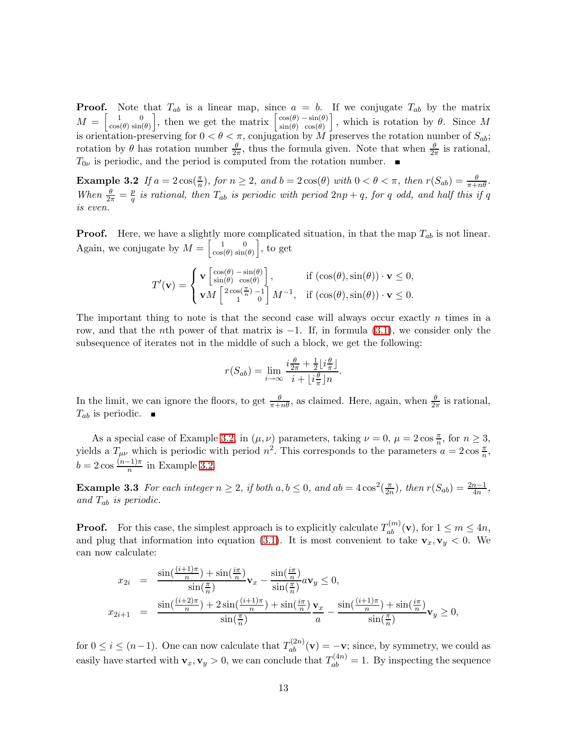**Proof.** Note that  $T_{ab}$  is a linear map, since  $a = b$ . If we conjugate  $T_{ab}$  by the matrix  $M = \begin{bmatrix} 1 \\ \cos(\theta) \end{bmatrix}$  $\cos(\theta)$ 0  $\begin{bmatrix} 0 \\ \sin(\theta) \end{bmatrix}$ , then we get the matrix  $\begin{bmatrix} \cos(\theta) \\ \sin(\theta) \end{bmatrix}$  $\sin(\theta)$  $-\sin(\theta)$  $\left[\begin{array}{c} -\sin(\theta) \\ \cos(\theta) \end{array}\right]$ , which is rotation by  $\theta$ . Since M is orientation-preserving for  $0 < \theta < \pi$ , conjugation by M preserves the rotation number of  $S_{ab}$ ; rotation by  $\theta$  has rotation number  $\frac{\theta}{2\pi}$ , thus the formula given. Note that when  $\frac{\theta}{2\pi}$  is rational,  $T_{0\nu}$  is periodic, and the period is computed from the rotation number.  $\blacksquare$ 

Example 3.2 If  $a = 2\cos(\frac{\pi}{n})$ , for  $n \ge 2$ , and  $b = 2\cos(\theta)$  with  $0 < \theta < \pi$ , then  $r(S_{ab}) = \frac{\theta}{\pi + n\theta}$ . *When*  $\frac{\theta}{2\pi} = \frac{p}{q}$  $\frac{p}{q}$  *is rational, then*  $T_{ab}$  *is periodic with period*  $2np+q$ *, for* q *odd, and half this if* q *is even.*

**Proof.** Here, we have a slightly more complicated situation, in that the map  $T_{ab}$  is not linear. Again, we conjugate by  $M = \begin{bmatrix} 1 \\ \cos \theta \end{bmatrix}$  $\cos(\theta)$  $\mathbf{0}$  $\begin{bmatrix} 0 \\ \sin(\theta) \end{bmatrix}$ , to get

<span id="page-12-0"></span>
$$
T'(\mathbf{v}) = \begin{cases} \mathbf{v} \begin{bmatrix} \cos(\theta) - \sin(\theta) \\ \sin(\theta) & \cos(\theta) \end{bmatrix}, & \text{if } (\cos(\theta), \sin(\theta)) \cdot \mathbf{v} \le 0, \\ \mathbf{v}M \begin{bmatrix} 2\cos(\frac{\pi}{n}) - 1 \\ 1 \end{bmatrix} M^{-1}, & \text{if } (\cos(\theta), \sin(\theta)) \cdot \mathbf{v} \le 0. \end{cases}
$$

The important thing to note is that the second case will always occur exactly  $n$  times in a row, and that the nth power of that matrix is  $-1$ . If, in formula [\(3.1\)](#page-7-0), we consider only the subsequence of iterates not in the middle of such a block, we get the following:

$$
r(S_{ab}) = \lim_{i \to \infty} \frac{i\frac{\theta}{2\pi} + \frac{1}{2} \lfloor i\frac{\theta}{\pi} \rfloor}{i + \lfloor i\frac{\theta}{\pi} \rfloor n}.
$$

In the limit, we can ignore the floors, to get  $\frac{\theta}{\pi+n\theta}$ , as claimed. Here, again, when  $\frac{\theta}{2\pi}$  is rational,  $T_{ab}$  is periodic.  $\blacksquare$ 

As a special case of Example [3.2,](#page-12-0) in  $(\mu, \nu)$  parameters, taking  $\nu = 0$ ,  $\mu = 2 \cos \frac{\pi}{n}$ , for  $n \ge 3$ , yields a  $T_{\mu\nu}$  which is periodic with period  $n^2$ . This corresponds to the parameters  $a = 2\cos\frac{\pi}{n}$ ,  $b = 2 \cos \frac{(n-1)\pi}{n}$  in Example [3.2.](#page-12-0)

<span id="page-12-1"></span>**Example 3.3** For each integer  $n \geq 2$ , if both  $a, b \leq 0$ , and  $ab = 4\cos^2(\frac{\pi}{2a})$  $(\frac{\pi}{2n})$ *, then*  $r(S_{ab}) = \frac{2n-1}{4n}$ *, and* Tab *is periodic.*

**Proof.** For this case, the simplest approach is to explicitly calculate  $T_{ab}^{(m)}(\mathbf{v})$ , for  $1 \le m \le 4n$ , and plug that information into equation [\(3.1\)](#page-7-0). It is most convenient to take  $v_x, v_y < 0$ . We can now calculate:

$$
x_{2i} = \frac{\sin\left(\frac{(i+1)\pi}{n}\right) + \sin\left(\frac{i\pi}{n}\right)}{\sin\left(\frac{\pi}{n}\right)} \mathbf{v}_x - \frac{\sin\left(\frac{i\pi}{n}\right)}{\sin\left(\frac{\pi}{n}\right)} a \mathbf{v}_y \le 0,
$$
  

$$
x_{2i+1} = \frac{\sin\left(\frac{(i+2)\pi}{n}\right) + 2\sin\left(\frac{(i+1)\pi}{n}\right) + \sin\left(\frac{i\pi}{n}\right)}{\sin\left(\frac{\pi}{n}\right)} \mathbf{v}_x - \frac{\sin\left(\frac{(i+1)\pi}{n}\right) + \sin\left(\frac{i\pi}{n}\right)}{\sin\left(\frac{\pi}{n}\right)} \mathbf{v}_y \ge 0,
$$

for  $0 \le i \le (n-1)$ . One can now calculate that  $T_{ab}^{(2n)}(\mathbf{v}) = -\mathbf{v}$ ; since, by symmetry, we could as easily have started with  $\mathbf{v}_x, \mathbf{v}_y > 0$ , we can conclude that  $T_{ab}^{(4n)} = 1$ . By inspecting the sequence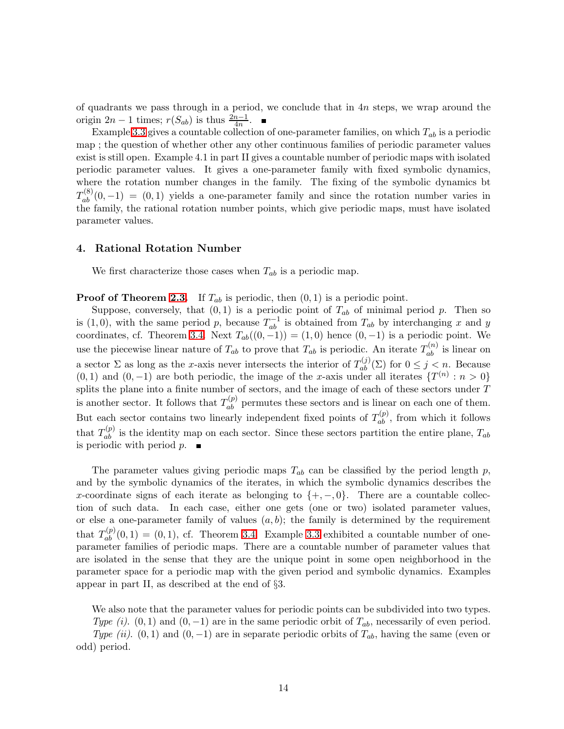of quadrants we pass through in a period, we conclude that in  $4n$  steps, we wrap around the origin  $2n - 1$  times;  $r(S_{ab})$  is thus  $\frac{2n-1}{4n}$ .

Example [3.3](#page-12-1) gives a countable collection of one-parameter families, on which  $T_{ab}$  is a periodic map ; the question of whether other any other continuous families of periodic parameter values exist is still open. Example 4.1 in part II gives a countable number of periodic maps with isolated periodic parameter values. It gives a one-parameter family with fixed symbolic dynamics, where the rotation number changes in the family. The fixing of the symbolic dynamics bt  $T_{ab}^{(8)}(0,-1) = (0,1)$  yields a one-parameter family and since the rotation number varies in the family, the rational rotation number points, which give periodic maps, must have isolated parameter values.

## 4. Rational Rotation Number

We first characterize those cases when  $T_{ab}$  is a periodic map.

**Proof of Theorem [2.3.](#page-5-2)** If  $T_{ab}$  is periodic, then  $(0, 1)$  is a periodic point.

Suppose, conversely, that  $(0, 1)$  is a periodic point of  $T_{ab}$  of minimal period p. Then so is (1,0), with the same period p, because  $T_{ab}^{-1}$  is obtained from  $T_{ab}$  by interchanging x and y coordinates, cf. Theorem [3.4.](#page-10-0) Next  $T_{ab}((0,-1)) = (1,0)$  hence  $(0,-1)$  is a periodic point. We use the piecewise linear nature of  $T_{ab}$  to prove that  $T_{ab}$  is periodic. An iterate  $T_{ab}^{(n)}$  is linear on a sector  $\Sigma$  as long as the x-axis never intersects the interior of  $T_{ab}^{(j)}(\Sigma)$  for  $0 \leq j \leq n$ . Because  $(0, 1)$  and  $(0, -1)$  are both periodic, the image of the x-axis under all iterates  $\{T^{(n)}: n > 0\}$ splits the plane into a finite number of sectors, and the image of each of these sectors under  $T$ is another sector. It follows that  $T_{ab}^{(p)}$  permutes these sectors and is linear on each one of them. But each sector contains two linearly independent fixed points of  $T_{ab}^{(p)}$ , from which it follows that  $T_{ab}^{(p)}$  is the identity map on each sector. Since these sectors partition the entire plane,  $T_{ab}$ is periodic with period  $p$ .

The parameter values giving periodic maps  $T_{ab}$  can be classified by the period length p, and by the symbolic dynamics of the iterates, in which the symbolic dynamics describes the x-coordinate signs of each iterate as belonging to  $\{+,-,0\}$ . There are a countable collection of such data. In each case, either one gets (one or two) isolated parameter values, or else a one-parameter family of values  $(a, b)$ ; the family is determined by the requirement that  $T_{ab}^{(p)}(0,1) = (0,1)$ , cf. Theorem [3.4.](#page-10-0) Example [3.3](#page-12-1) exhibited a countable number of oneparameter families of periodic maps. There are a countable number of parameter values that are isolated in the sense that they are the unique point in some open neighborhood in the parameter space for a periodic map with the given period and symbolic dynamics. Examples appear in part II, as described at the end of §3.

We also note that the parameter values for periodic points can be subdivided into two types.

*Type (i).* (0, 1) and (0, -1) are in the same periodic orbit of  $T_{ab}$ , necessarily of even period. *Type (ii)*. (0, 1) and (0, -1) are in separate periodic orbits of  $T_{ab}$ , having the same (even or odd) period.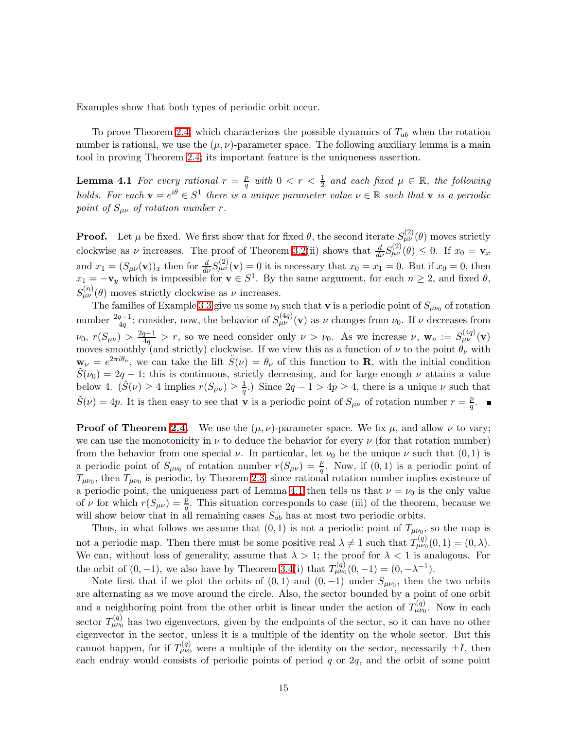Examples show that both types of periodic orbit occur.

To prove Theorem [2.4,](#page-6-0) which characterizes the possible dynamics of  $T_{ab}$  when the rotation number is rational, we use the  $(\mu, \nu)$ -parameter space. The following auxiliary lemma is a main tool in proving Theorem [2.4;](#page-6-0) its important feature is the uniqueness assertion.

<span id="page-14-0"></span>**Lemma 4.1** For every rational  $r = \frac{p}{q}$  $\frac{p}{q}$  with  $0 < r < \frac{1}{2}$  and each fixed  $\mu \in \mathbb{R}$ , the following *holds.* For each  $\mathbf{v} = e^{i\theta} \in S^1$  there is a unique parameter value  $\nu \in \mathbb{R}$  such that  $\mathbf{v}$  is a periodic *point of*  $S_{\mu\nu}$  *of rotation number r.* 

**Proof.** Let  $\mu$  be fixed. We first show that for fixed  $\theta$ , the second iterate  $S_{\mu\nu}^{(2)}(\theta)$  moves strictly clockwise as  $\nu$  increases. The proof of Theorem [3.2\(](#page-7-1)ii) shows that  $\frac{d}{d\nu}S_{\mu\nu}^{(2)}(\theta) \leq 0$ . If  $x_0 = \mathbf{v}_x$ and  $x_1 = (S_{\mu\nu}(\mathbf{v}))_x$  then for  $\frac{d}{d\nu}S_{\mu\nu}^{(2)}(\mathbf{v}) = 0$  it is necessary that  $x_0 = x_1 = 0$ . But if  $x_0 = 0$ , then  $x_1 = -\mathbf{v}_y$  which is impossible for  $\mathbf{v} \in S^1$ . By the same argument, for each  $n \geq 2$ , and fixed  $\theta$ ,  $S_{\mu\nu}^{(n)}(\theta)$  moves strictly clockwise as  $\nu$  increases.

The families of Example [3.3](#page-12-1) give us some  $\nu_0$  such that **v** is a periodic point of  $S_{\mu\nu_0}$  of rotation number  $\frac{2q-1}{4q}$ ; consider, now, the behavior of  $S_{\mu\nu}^{(4q)}(v)$  as  $\nu$  changes from  $\nu_0$ . If  $\nu$  decreases from  $\nu_0, r(S_{\mu\nu}) > \frac{2q-1}{4q} > r$ , so we need consider only  $\nu > \nu_0$ . As we increase  $\nu, \mathbf{w}_{\nu} := S_{\mu\nu}^{(4q)}(\mathbf{v})$ moves smoothly (and strictly) clockwise. If we view this as a function of  $\nu$  to the point  $\theta_{\nu}$  with  $\mathbf{w}_{\nu} = e^{2\pi i \theta_{\nu}},$  we can take the lift  $\tilde{S}(\nu) = \theta_{\nu}$  of this function to **R**, with the initial condition  $\tilde{S}(\nu_0) = 2q - 1$ ; this is continuous, strictly decreasing, and for large enough  $\nu$  attains a value below 4.  $(\tilde{S}(\nu) \ge 4$  implies  $r(S_{\mu\nu}) \ge \frac{1}{q}$ .) Since  $2q - 1 > 4p \ge 4$ , there is a unique  $\nu$  such that  $\tilde{S}(\nu) = 4p$ . It is then easy to see that **v** is a periodic point of  $S_{\mu\nu}$  of rotation number  $r = \frac{p}{q}$  $\frac{p}{q}.$ 

**Proof of Theorem [2.4.](#page-6-0)** We use the  $(\mu, \nu)$ -parameter space. We fix  $\mu$ , and allow  $\nu$  to vary; we can use the monotonicity in  $\nu$  to deduce the behavior for every  $\nu$  (for that rotation number) from the behavior from one special  $\nu$ . In particular, let  $\nu_0$  be the unique  $\nu$  such that  $(0,1)$  is a periodic point of  $S_{\mu\nu_0}$  of rotation number  $r(S_{\mu\nu}) = \frac{p}{q}$ . Now, if  $(0, 1)$  is a periodic point of  $T_{\mu\nu_0}$ , then  $T_{\mu\nu_0}$  is periodic, by Theorem [2.3;](#page-5-2) since rational rotation number implies existence of a periodic point, the uniqueness part of Lemma [4.1](#page-14-0) then tells us that  $\nu = \nu_0$  is the only value of  $\nu$  for which  $r(S_{\mu\nu}) = \frac{p}{q}$ . This situation corresponds to case (iii) of the theorem, because we will show below that in all remaining cases  $S_{ab}$  has at most two periodic orbits.

Thus, in what follows we assume that  $(0,1)$  is not a periodic point of  $T_{\mu\nu_0}$ , so the map is not a periodic map. Then there must be some positive real  $\lambda \neq 1$  such that  $T_{\mu\nu 0}^{(q)}(0,1) = (0,\lambda)$ . We can, without loss of generality, assume that  $\lambda > 1$ ; the proof for  $\lambda < 1$  is analogous. For the orbit of  $(0, -1)$ , we also have by Theorem [3.4\(](#page-10-0)i) that  $T_{\mu\nu_0}^{(q)}(0, -1) = (0, -\lambda^{-1})$ .

Note first that if we plot the orbits of  $(0,1)$  and  $(0,-1)$  under  $S_{\mu\nu_0}$ , then the two orbits are alternating as we move around the circle. Also, the sector bounded by a point of one orbit and a neighboring point from the other orbit is linear under the action of  $T_{\mu\nu_0}^{(q)}$ . Now in each sector  $T_{\mu\nu_0}^{(q)}$  has two eigenvectors, given by the endpoints of the sector, so it can have no other eigenvector in the sector, unless it is a multiple of the identity on the whole sector. But this cannot happen, for if  $T_{\mu\nu_0}^{(q)}$  were a multiple of the identity on the sector, necessarily  $\pm I$ , then each endray would consists of periodic points of period  $q$  or  $2q$ , and the orbit of some point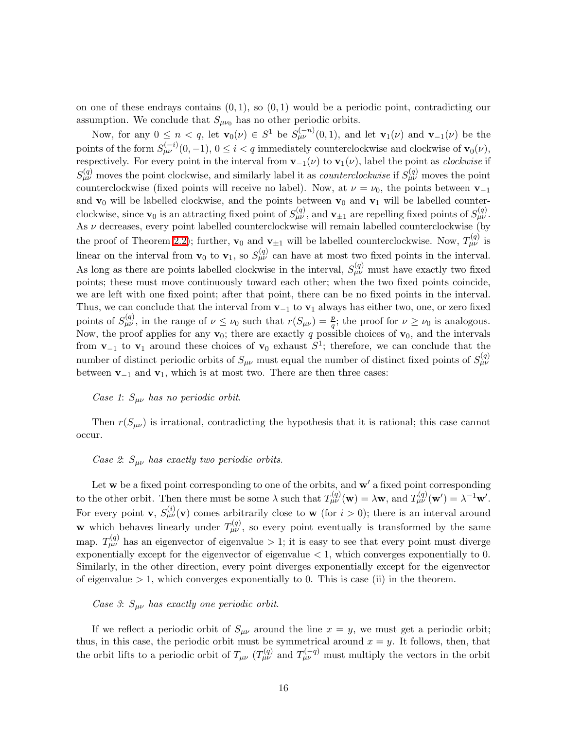on one of these endrays contains  $(0, 1)$ , so  $(0, 1)$  would be a periodic point, contradicting our assumption. We conclude that  $S_{\mu\nu_0}$  has no other periodic orbits.

Now, for any  $0 \leq n < q$ , let  $\mathbf{v}_0(\nu) \in S^1$  be  $S_{\mu\nu}^{(-n)}(0,1)$ , and let  $\mathbf{v}_1(\nu)$  and  $\mathbf{v}_{-1}(\nu)$  be the points of the form  $S_{\mu\nu}^{(-i)}(0,-1)$ ,  $0 \leq i < q$  immediately counterclockwise and clockwise of  $\mathbf{v}_0(\nu)$ , respectively. For every point in the interval from  $\mathbf{v}_{-1}(\nu)$  to  $\mathbf{v}_1(\nu)$ , label the point as *clockwise* if  $S_{\mu\nu}^{(q)}$  moves the point clockwise, and similarly label it as *counterclockwise* if  $S_{\mu\nu}^{(q)}$  moves the point counterclockwise (fixed points will receive no label). Now, at  $\nu = \nu_0$ , the points between  $\mathbf{v}_{-1}$ and  $\mathbf{v}_0$  will be labelled clockwise, and the points between  $\mathbf{v}_0$  and  $\mathbf{v}_1$  will be labelled counterclockwise, since  $\mathbf{v}_0$  is an attracting fixed point of  $S_{\mu\nu}^{(q)}$ , and  $\mathbf{v}_{\pm 1}$  are repelling fixed points of  $S_{\mu\nu}^{(q)}$ . As  $\nu$  decreases, every point labelled counterclockwise will remain labelled counterclockwise (by the proof of Theorem [2.2\)](#page-5-1); further,  $\mathbf{v}_0$  and  $\mathbf{v}_{\pm 1}$  will be labelled counterclockwise. Now,  $T_{\mu\nu}^{(q)}$  is linear on the interval from  $\mathbf{v}_0$  to  $\mathbf{v}_1$ , so  $S_{\mu\nu}^{(q)}$  can have at most two fixed points in the interval. As long as there are points labelled clockwise in the interval,  $S_{\mu\nu}^{(q)}$  must have exactly two fixed points; these must move continuously toward each other; when the two fixed points coincide, we are left with one fixed point; after that point, there can be no fixed points in the interval. Thus, we can conclude that the interval from  $v_{-1}$  to  $v_1$  always has either two, one, or zero fixed points of  $S_{\mu\nu}^{(q)}$ , in the range of  $\nu \leq \nu_0$  such that  $r(S_{\mu\nu}) = \frac{p}{q}$ ; the proof for  $\nu \geq \nu_0$  is analogous. Now, the proof applies for any  $\mathbf{v}_0$ ; there are exactly q possible choices of  $\mathbf{v}_0$ , and the intervals from  $\mathbf{v}_{-1}$  to  $\mathbf{v}_1$  around these choices of  $\mathbf{v}_0$  exhaust  $S^1$ ; therefore, we can conclude that the number of distinct periodic orbits of  $S_{\mu\nu}$  must equal the number of distinct fixed points of  $S_{\mu\nu}^{(q)}$ between  $\mathbf{v}_{-1}$  and  $\mathbf{v}_1$ , which is at most two. There are then three cases:

#### *Case 1*: Sµν *has no periodic orbit*.

Then  $r(S_{\mu\nu})$  is irrational, contradicting the hypothesis that it is rational; this case cannot occur.

# *Case 2*: Sµν *has exactly two periodic orbits*.

Let  $w$  be a fixed point corresponding to one of the orbits, and  $w'$  a fixed point corresponding to the other orbit. Then there must be some  $\lambda$  such that  $T_{\mu\nu}^{(q)}(\mathbf{w}) = \lambda \mathbf{w}$ , and  $T_{\mu\nu}^{(q)}(\mathbf{w}') = \lambda^{-1} \mathbf{w}'$ . For every point **v**,  $S_{\mu\nu}^{(i)}(\mathbf{v})$  comes arbitrarily close to **w** (for  $i > 0$ ); there is an interval around **w** which behaves linearly under  $T_{\mu\nu}^{(q)}$ , so every point eventually is transformed by the same map.  $T_{\mu\nu}^{(q)}$  has an eigenvector of eigenvalue  $> 1$ ; it is easy to see that every point must diverge exponentially except for the eigenvector of eigenvalue < 1, which converges exponentially to 0. Similarly, in the other direction, every point diverges exponentially except for the eigenvector of eigenvalue  $> 1$ , which converges exponentially to 0. This is case (ii) in the theorem.

## *Case 3*: Sµν *has exactly one periodic orbit*.

If we reflect a periodic orbit of  $S_{\mu\nu}$  around the line  $x = y$ , we must get a periodic orbit; thus, in this case, the periodic orbit must be symmetrical around  $x = y$ . It follows, then, that the orbit lifts to a periodic orbit of  $T_{\mu\nu}$  ( $T_{\mu\nu}^{(q)}$  and  $T_{\mu\nu}^{(-q)}$  must multiply the vectors in the orbit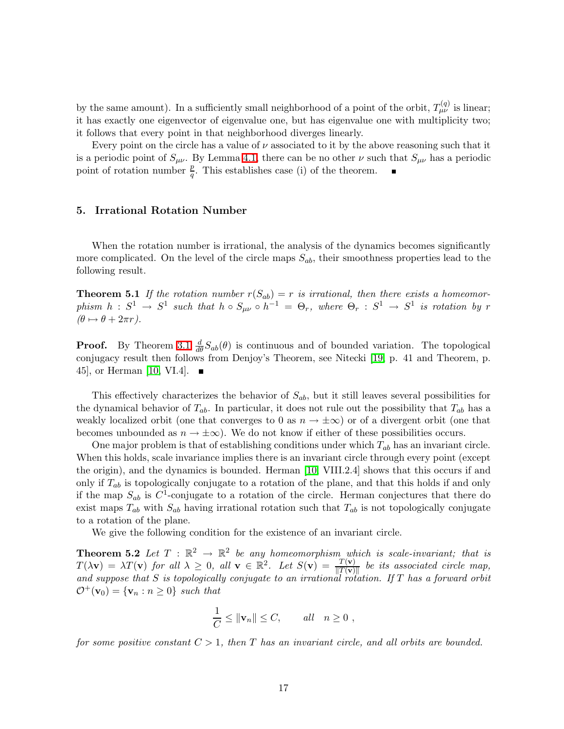by the same amount). In a sufficiently small neighborhood of a point of the orbit,  $T_{\mu\nu}^{(q)}$  is linear; it has exactly one eigenvector of eigenvalue one, but has eigenvalue one with multiplicity two; it follows that every point in that neighborhood diverges linearly.

Every point on the circle has a value of  $\nu$  associated to it by the above reasoning such that it is a periodic point of  $S_{\mu\nu}$ . By Lemma [4.1,](#page-14-0) there can be no other  $\nu$  such that  $S_{\mu\nu}$  has a periodic point of rotation number  $\frac{p}{q}$ . This establishes case (i) of the theorem.

#### 5. Irrational Rotation Number

When the rotation number is irrational, the analysis of the dynamics becomes significantly more complicated. On the level of the circle maps  $S_{ab}$ , their smoothness properties lead to the following result.

**Theorem 5.1** If the rotation number  $r(S_{ab}) = r$  is irrational, then there exists a homeomor $phism \, h \,:\, S^1 \,\to\, S^1 \, \, such \,\, that \,\, h \circ S_{\mu\nu} \circ h^{-1} \,=\, \Theta_r, \,\, where \,\, \Theta_r \,:\, S^1 \,\to\, S^1 \,\, is \,\, rotation \,\, by \,\, rr$  $(\theta \mapsto \theta + 2\pi r).$ 

**Proof.** By Theorem [3.1](#page-6-1)  $\frac{d}{d\theta}S_{ab}(\theta)$  is continuous and of bounded variation. The topological conjugacy result then follows from Denjoy's Theorem, see Nitecki [\[19,](#page-19-7) p. 41 and Theorem, p. 45, or Herman [\[10,](#page-18-14) VI.4].  $\blacksquare$ 

This effectively characterizes the behavior of  $S_{ab}$ , but it still leaves several possibilities for the dynamical behavior of  $T_{ab}$ . In particular, it does not rule out the possibility that  $T_{ab}$  has a weakly localized orbit (one that converges to 0 as  $n \to \pm \infty$ ) or of a divergent orbit (one that becomes unbounded as  $n \to \pm \infty$ ). We do not know if either of these possibilities occurs.

One major problem is that of establishing conditions under which  $T_{ab}$  has an invariant circle. When this holds, scale invariance implies there is an invariant circle through every point (except the origin), and the dynamics is bounded. Herman [\[10,](#page-18-14) VIII.2.4] shows that this occurs if and only if  $T_{ab}$  is topologically conjugate to a rotation of the plane, and that this holds if and only if the map  $S_{ab}$  is  $C^1$ -conjugate to a rotation of the circle. Herman conjectures that there do exist maps  $T_{ab}$  with  $S_{ab}$  having irrational rotation such that  $T_{ab}$  is not topologically conjugate to a rotation of the plane.

We give the following condition for the existence of an invariant circle.

**Theorem 5.2** Let  $T : \mathbb{R}^2 \to \mathbb{R}^2$  be any homeomorphism which is scale-invariant; that is  $T(\lambda \mathbf{v}) = \lambda T(\mathbf{v})$  for all  $\lambda \geq 0$ , all  $\mathbf{v} \in \mathbb{R}^2$ . Let  $S(\mathbf{v}) = \frac{T(\mathbf{v})}{\|T(\mathbf{v})\|}$  be its associated circle map, *and suppose that* S *is topologically conjugate to an irrational rotation. If* T *has a forward orbit*  $\mathcal{O}^+(\mathbf{v}_0) = {\mathbf{v}_n : n \geq 0}$  *such that* 

<span id="page-16-0"></span>
$$
\frac{1}{C} \le ||\mathbf{v}_n|| \le C, \qquad all \quad n \ge 0 ,
$$

*for some positive constant* C > 1*, then* T *has an invariant circle, and all orbits are bounded.*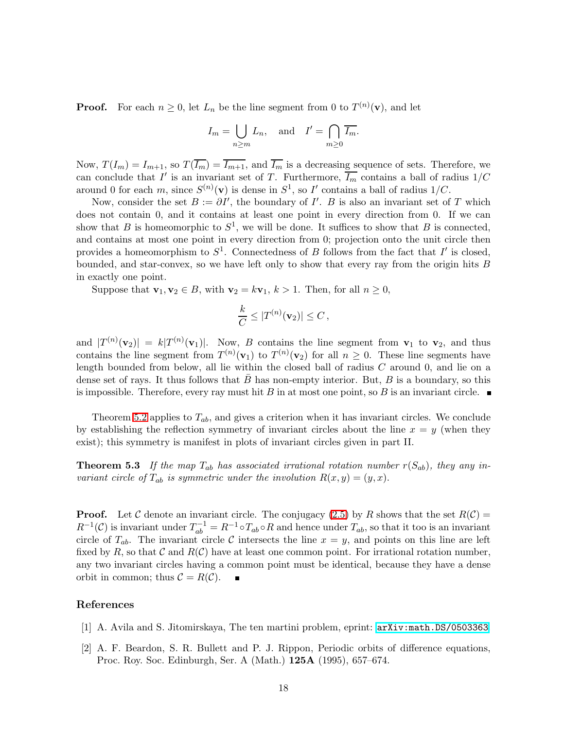**Proof.** For each  $n \geq 0$ , let  $L_n$  be the line segment from 0 to  $T^{(n)}(\mathbf{v})$ , and let

$$
I_m = \bigcup_{n \ge m} L_n
$$
, and  $I' = \bigcap_{m \ge 0} \overline{I_m}$ .

Now,  $T(I_m) = I_{m+1}$ , so  $T(\overline{I_m}) = \overline{I_{m+1}}$ , and  $\overline{I_m}$  is a decreasing sequence of sets. Therefore, we can conclude that  $I'$  is an invariant set of T. Furthermore,  $\overline{I_m}$  contains a ball of radius  $1/C$ around 0 for each m, since  $S^{(n)}(\mathbf{v})$  is dense in  $S^1$ , so I' contains a ball of radius  $1/C$ .

Now, consider the set  $B := \partial I'$ , the boundary of  $I'$ . B is also an invariant set of T which does not contain 0, and it contains at least one point in every direction from 0. If we can show that B is homeomorphic to  $S^1$ , we will be done. It suffices to show that B is connected, and contains at most one point in every direction from 0; projection onto the unit circle then provides a homeomorphism to  $S^1$ . Connectedness of B follows from the fact that I' is closed, bounded, and star-convex, so we have left only to show that every ray from the origin hits B in exactly one point.

Suppose that  $\mathbf{v}_1, \mathbf{v}_2 \in B$ , with  $\mathbf{v}_2 = k\mathbf{v}_1$ ,  $k > 1$ . Then, for all  $n \geq 0$ ,

$$
\frac{k}{C} \leq |T^{(n)}(\mathbf{v}_2)| \leq C,
$$

and  $|T^{(n)}(\mathbf{v}_2)| = k|T^{(n)}(\mathbf{v}_1)|$ . Now, B contains the line segment from  $\mathbf{v}_1$  to  $\mathbf{v}_2$ , and thus contains the line segment from  $T^{(n)}(\mathbf{v}_1)$  to  $T^{(n)}(\mathbf{v}_2)$  for all  $n \geq 0$ . These line segments have length bounded from below, all lie within the closed ball of radius C around 0, and lie on a dense set of rays. It thus follows that  $B$  has non-empty interior. But,  $B$  is a boundary, so this is impossible. Therefore, every ray must hit B in at most one point, so B is an invariant circle.  $\blacksquare$ 

Theorem [5.2](#page-16-0) applies to  $T_{ab}$ , and gives a criterion when it has invariant circles. We conclude by establishing the reflection symmetry of invariant circles about the line  $x = y$  (when they exist); this symmetry is manifest in plots of invariant circles given in part II.

<span id="page-17-2"></span>**Theorem 5.3** If the map  $T_{ab}$  has associated irrational rotation number  $r(S_{ab})$ , they any in*variant circle of*  $T_{ab}$  *is symmetric under the involution*  $R(x, y) = (y, x)$ .

**Proof.** Let C denote an invariant circle. The conjugacy [\(2.5\)](#page-5-3) by R shows that the set  $R(C)$  =  $R^{-1}(\mathcal{C})$  is invariant under  $T_{ab}^{-1} = R^{-1} \circ T_{ab} \circ R$  and hence under  $T_{ab}$ , so that it too is an invariant circle of  $T_{ab}$ . The invariant circle C intersects the line  $x = y$ , and points on this line are left fixed by R, so that C and  $R(C)$  have at least one common point. For irrational rotation number, any two invariant circles having a common point must be identical, because they have a dense orbit in common; thus  $\mathcal{C} = R(\mathcal{C})$ .

#### <span id="page-17-1"></span><span id="page-17-0"></span>References

- [1] A. Avila and S. Jitomirskaya, The ten martini problem, eprint: [arXiv:math.DS/0503363](http://arXiv.org/abs/math/0503363).
- [2] A. F. Beardon, S. R. Bullett and P. J. Rippon, Periodic orbits of difference equations, Proc. Roy. Soc. Edinburgh, Ser. A (Math.) 125A (1995), 657–674.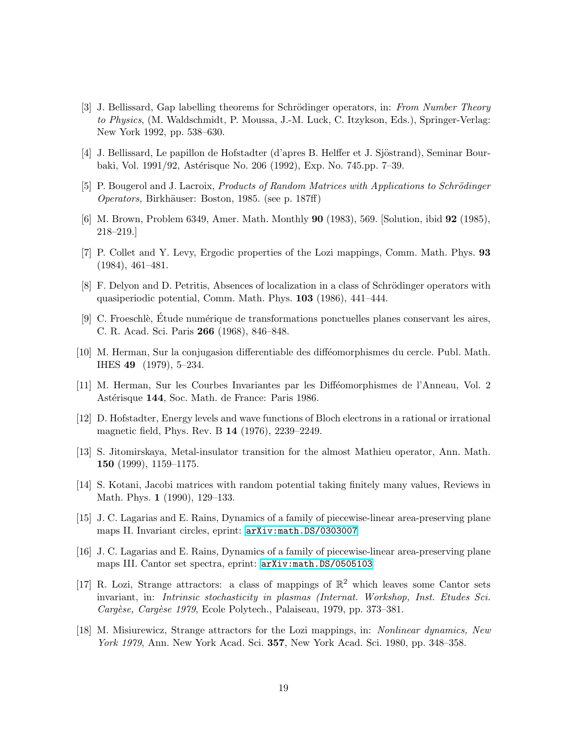- <span id="page-18-7"></span>[3] J. Bellissard, Gap labelling theorems for Schrödinger operators, in: *From Number Theory to Physics*, (M. Waldschmidt, P. Moussa, J.-M. Luck, C. Itzykson, Eds.), Springer-Verlag: New York 1992, pp. 538–630.
- <span id="page-18-12"></span><span id="page-18-10"></span>[4] J. Bellissard, Le papillon de Hofstadter (d'apres B. Helffer et J. Sjöstrand), Seminar Bourbaki, Vol. 1991/92, Astérisque No. 206 (1992), Exp. No. 745.pp. 7–39.
- <span id="page-18-1"></span>[5] P. Bougerol and J. Lacroix, *Products of Random Matrices with Applications to Schrödinger Operators,* Birkhäuser: Boston, 1985. (see p. 187ff)
- <span id="page-18-6"></span>[6] M. Brown, Problem 6349, Amer. Math. Monthly 90 (1983), 569. [Solution, ibid 92 (1985), 218–219.]
- <span id="page-18-8"></span>[7] P. Collet and Y. Levy, Ergodic properties of the Lozi mappings, Comm. Math. Phys. 93 (1984), 461–481.
- <span id="page-18-3"></span>[8] F. Delyon and D. Petritis, Absences of localization in a class of Schrödinger operators with quasiperiodic potential, Comm. Math. Phys. 103 (1986), 441–444.
- [9] C. Froeschlè, Étude numérique de transformations ponctuelles planes conservant les aires, C. R. Acad. Sci. Paris 266 (1968), 846–848.
- <span id="page-18-14"></span>[10] M. Herman, Sur la conjugasion differentiable des difféomorphismes du cercle. Publ. Math. IHES 49 (1979), 5–234.
- <span id="page-18-2"></span><span id="page-18-0"></span>[11] M. Herman, Sur les Courbes Invariantes par les Diff´eomorphismes de l'Anneau, Vol. 2 Astérisque 144, Soc. Math. de France: Paris 1986.
- <span id="page-18-11"></span>[12] D. Hofstadter, Energy levels and wave functions of Bloch electrons in a rational or irrational magnetic field, Phys. Rev. B 14 (1976), 2239–2249.
- <span id="page-18-9"></span>[13] S. Jitomirskaya, Metal-insulator transition for the almost Mathieu operator, Ann. Math. 150 (1999), 1159–1175.
- <span id="page-18-13"></span>[14] S. Kotani, Jacobi matrices with random potential taking finitely many values, Reviews in Math. Phys. 1 (1990), 129–133.
- [15] J. C. Lagarias and E. Rains, Dynamics of a family of piecewise-linear area-preserving plane maps II. Invariant circles, eprint: [arXiv:math.DS/0303007](http://arXiv.org/abs/math/0303007)
- [16] J. C. Lagarias and E. Rains, Dynamics of a family of piecewise-linear area-preserving plane maps III. Cantor set spectra, eprint: [arXiv:math.DS/0505103](http://arXiv.org/abs/math/0505103)
- <span id="page-18-4"></span>[17] R. Lozi, Strange attractors: a class of mappings of  $\mathbb{R}^2$  which leaves some Cantor sets invariant, in: *Intrinsic stochasticity in plasmas (Internat. Workshop, Inst. Etudes Sci. Carg`ese, Carg`ese 1979*, Ecole Polytech., Palaiseau, 1979, pp. 373–381.
- <span id="page-18-5"></span>[18] M. Misiurewicz, Strange attractors for the Lozi mappings, in: *Nonlinear dynamics, New York 1979*, Ann. New York Acad. Sci. 357, New York Acad. Sci. 1980, pp. 348–358.